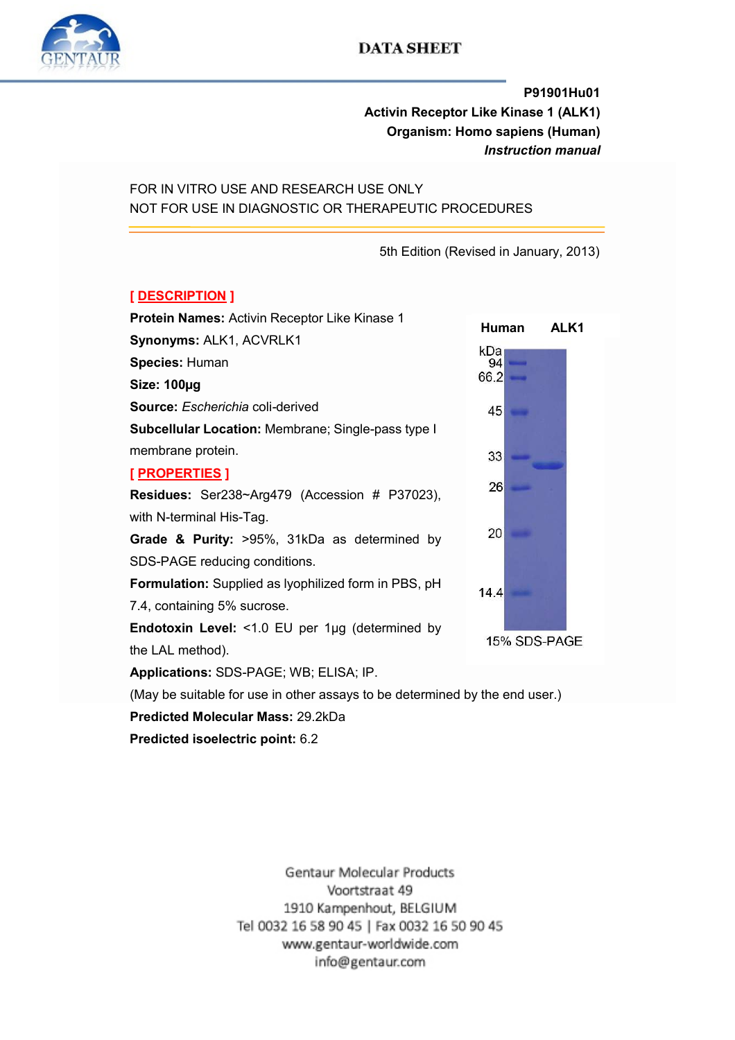

# **DATA SHEET**

P91901Hu01 Activin Receptor Like Kinase 1 (ALK1) Organism: Homo sapiens (Human) Instruction manual

FOR IN VITRO USE AND RESEARCH USE ONLY NOT FOR USE IN DIAGNOSTIC OR THERAPEUTIC PROCEDURES

5th Edition (Revised in January, 2013)

# [ DESCRIPTION ]

Protein Names: Activin Receptor Like Kinase 1 Synonyms: ALK1, ACVRLK1 Species: Human Size: 100µg Source: Escherichia coli-derived Subcellular Location: Membrane; Single-pass type I membrane protein. [ PROPERTIES ] Residues: Ser238~Arg479 (Accession # P37023), with N-terminal His-Tag. Grade & Purity: >95%, 31kDa as determined by SDS-PAGE reducing conditions. Formulation: Supplied as lyophilized form in PBS, pH 7.4, containing 5% sucrose. Endotoxin Level: <1.0 EU per 1µg (determined by the LAL method). Applications: SDS-PAGE; WB; ELISA; IP.

(May be suitable for use in other assays to be determined by the end user.)

#### Predicted Molecular Mass: 29.2kDa

Predicted isoelectric point: 6.2

Human ALK1kDa 94 66.2 45 33 26 20 14.4 15% SDS-PAGE

Gentaur Molecular Products Voortstraat 49 1910 Kampenhout, BELGIUM Tel 0032 16 58 90 45 | Fax 0032 16 50 90 45 www.gentaur-worldwide.com info@gentaur.com